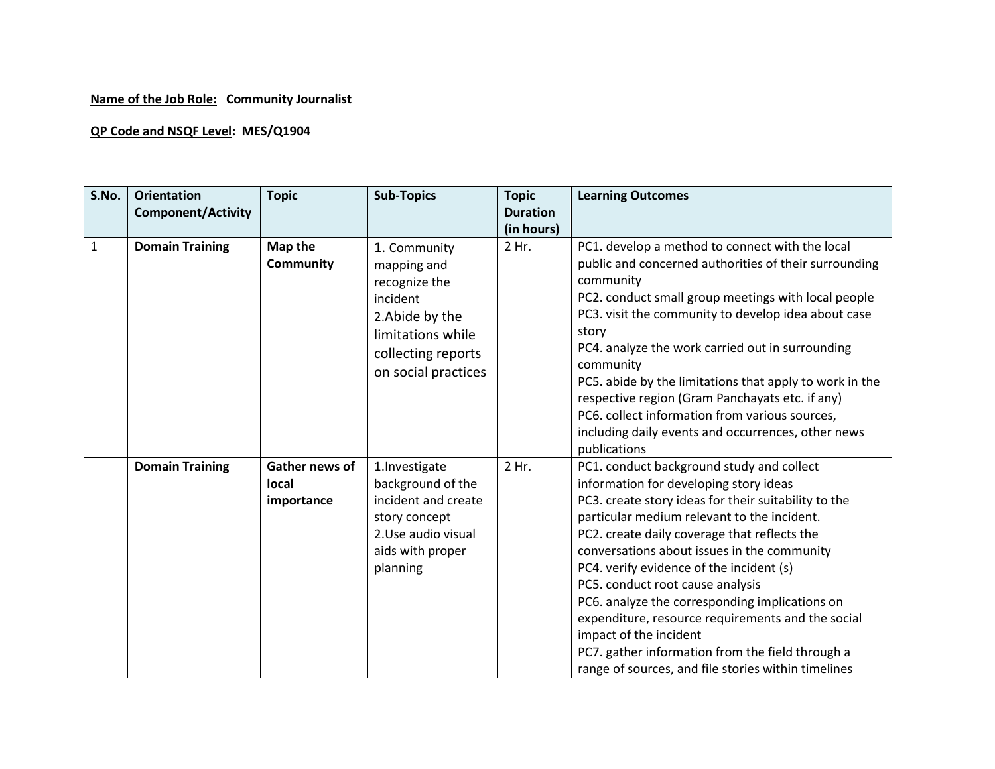## **Name of the Job Role: Community Journalist**

## **QP Code and NSQF Level: MES/Q1904**

| S.No.        | <b>Orientation</b><br><b>Component/Activity</b> | <b>Topic</b>                                 | <b>Sub-Topics</b>                                                                                                                             | <b>Topic</b><br><b>Duration</b> | <b>Learning Outcomes</b>                                                                                                                                                                                                                                                                                                                                                                                                                                                                                                                                                                                              |
|--------------|-------------------------------------------------|----------------------------------------------|-----------------------------------------------------------------------------------------------------------------------------------------------|---------------------------------|-----------------------------------------------------------------------------------------------------------------------------------------------------------------------------------------------------------------------------------------------------------------------------------------------------------------------------------------------------------------------------------------------------------------------------------------------------------------------------------------------------------------------------------------------------------------------------------------------------------------------|
|              |                                                 |                                              |                                                                                                                                               | (in hours)                      |                                                                                                                                                                                                                                                                                                                                                                                                                                                                                                                                                                                                                       |
| $\mathbf{1}$ | <b>Domain Training</b>                          | Map the<br><b>Community</b>                  | 1. Community<br>mapping and<br>recognize the<br>incident<br>2. Abide by the<br>limitations while<br>collecting reports<br>on social practices | 2 Hr.                           | PC1. develop a method to connect with the local<br>public and concerned authorities of their surrounding<br>community<br>PC2. conduct small group meetings with local people<br>PC3. visit the community to develop idea about case<br>story<br>PC4. analyze the work carried out in surrounding<br>community<br>PC5. abide by the limitations that apply to work in the<br>respective region (Gram Panchayats etc. if any)<br>PC6. collect information from various sources,<br>including daily events and occurrences, other news<br>publications                                                                   |
|              | <b>Domain Training</b>                          | <b>Gather news of</b><br>local<br>importance | 1.Investigate<br>background of the<br>incident and create<br>story concept<br>2.Use audio visual<br>aids with proper<br>planning              | 2 Hr.                           | PC1. conduct background study and collect<br>information for developing story ideas<br>PC3. create story ideas for their suitability to the<br>particular medium relevant to the incident.<br>PC2. create daily coverage that reflects the<br>conversations about issues in the community<br>PC4. verify evidence of the incident (s)<br>PC5. conduct root cause analysis<br>PC6. analyze the corresponding implications on<br>expenditure, resource requirements and the social<br>impact of the incident<br>PC7. gather information from the field through a<br>range of sources, and file stories within timelines |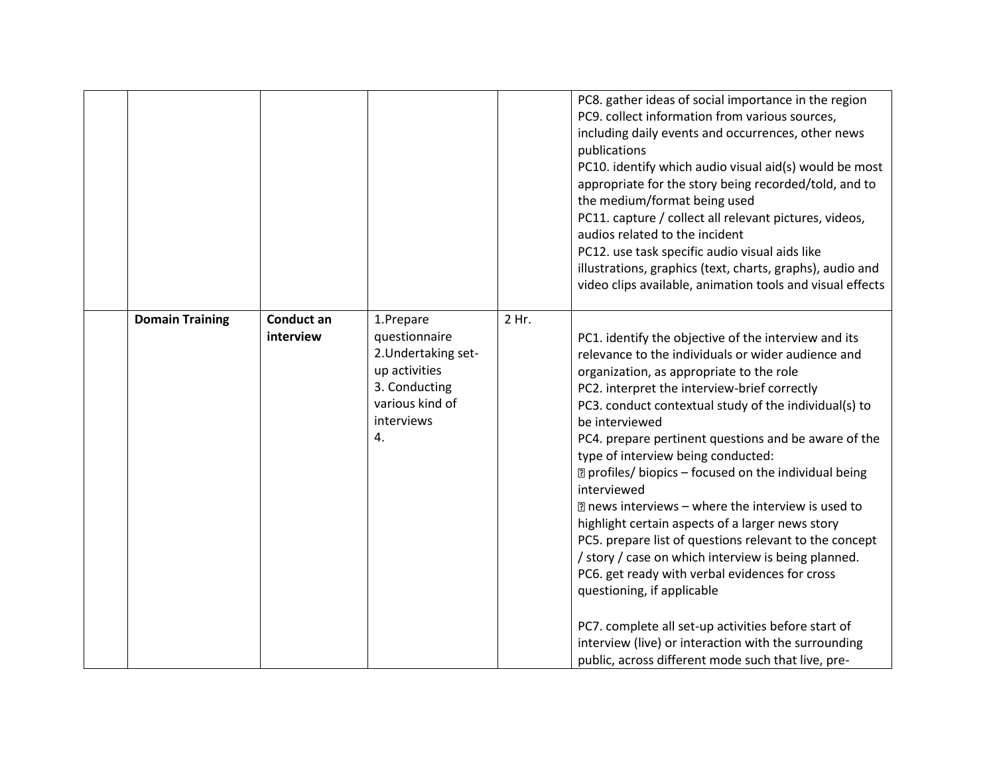|                        |                                |                                                                                                                            |       | PC8. gather ideas of social importance in the region<br>PC9. collect information from various sources,<br>including daily events and occurrences, other news<br>publications<br>PC10. identify which audio visual aid(s) would be most<br>appropriate for the story being recorded/told, and to<br>the medium/format being used<br>PC11. capture / collect all relevant pictures, videos,<br>audios related to the incident<br>PC12. use task specific audio visual aids like<br>illustrations, graphics (text, charts, graphs), audio and<br>video clips available, animation tools and visual effects                                                                                                                                                                                                                                                                                                                                 |
|------------------------|--------------------------------|----------------------------------------------------------------------------------------------------------------------------|-------|-----------------------------------------------------------------------------------------------------------------------------------------------------------------------------------------------------------------------------------------------------------------------------------------------------------------------------------------------------------------------------------------------------------------------------------------------------------------------------------------------------------------------------------------------------------------------------------------------------------------------------------------------------------------------------------------------------------------------------------------------------------------------------------------------------------------------------------------------------------------------------------------------------------------------------------------|
| <b>Domain Training</b> | <b>Conduct an</b><br>interview | 1.Prepare<br>questionnaire<br>2. Undertaking set-<br>up activities<br>3. Conducting<br>various kind of<br>interviews<br>4. | 2 Hr. | PC1. identify the objective of the interview and its<br>relevance to the individuals or wider audience and<br>organization, as appropriate to the role<br>PC2. interpret the interview-brief correctly<br>PC3. conduct contextual study of the individual(s) to<br>be interviewed<br>PC4. prepare pertinent questions and be aware of the<br>type of interview being conducted:<br>7 profiles/ biopics - focused on the individual being<br>interviewed<br>■ news interviews – where the interview is used to<br>highlight certain aspects of a larger news story<br>PC5. prepare list of questions relevant to the concept<br>/ story / case on which interview is being planned.<br>PC6. get ready with verbal evidences for cross<br>questioning, if applicable<br>PC7. complete all set-up activities before start of<br>interview (live) or interaction with the surrounding<br>public, across different mode such that live, pre- |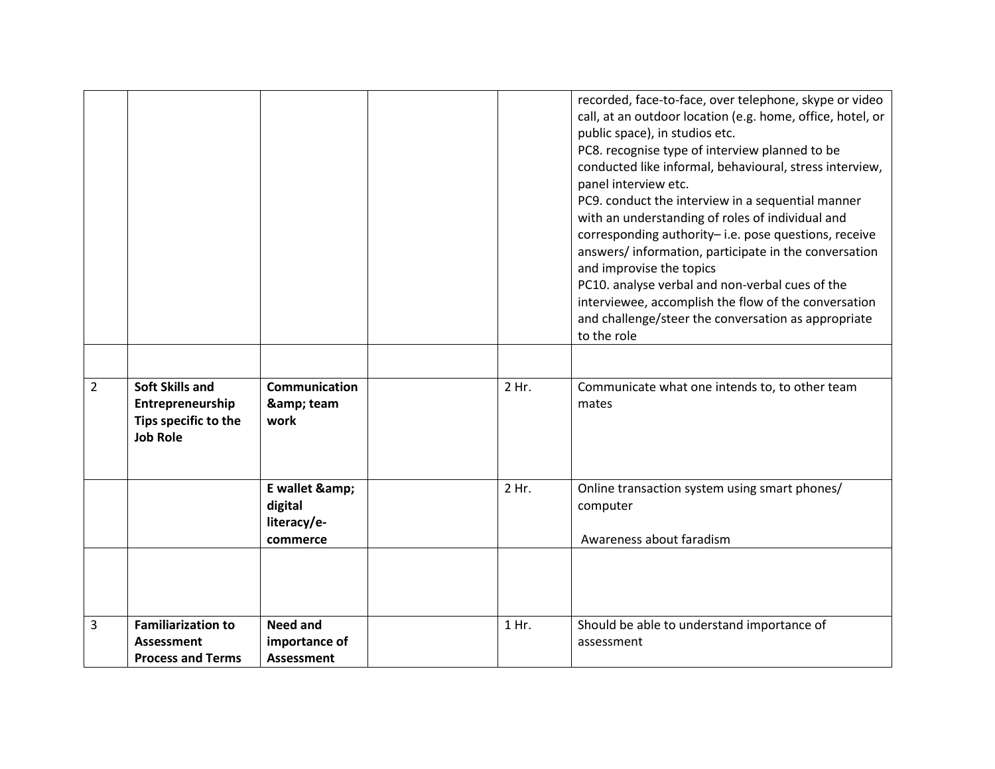|                |                                                                                       |                                                  |       | recorded, face-to-face, over telephone, skype or video<br>call, at an outdoor location (e.g. home, office, hotel, or<br>public space), in studios etc.<br>PC8. recognise type of interview planned to be<br>conducted like informal, behavioural, stress interview,<br>panel interview etc.<br>PC9. conduct the interview in a sequential manner<br>with an understanding of roles of individual and<br>corresponding authority-i.e. pose questions, receive<br>answers/information, participate in the conversation<br>and improvise the topics<br>PC10. analyse verbal and non-verbal cues of the<br>interviewee, accomplish the flow of the conversation<br>and challenge/steer the conversation as appropriate<br>to the role |
|----------------|---------------------------------------------------------------------------------------|--------------------------------------------------|-------|-----------------------------------------------------------------------------------------------------------------------------------------------------------------------------------------------------------------------------------------------------------------------------------------------------------------------------------------------------------------------------------------------------------------------------------------------------------------------------------------------------------------------------------------------------------------------------------------------------------------------------------------------------------------------------------------------------------------------------------|
| $\overline{2}$ | <b>Soft Skills and</b><br>Entrepreneurship<br>Tips specific to the<br><b>Job Role</b> | Communication<br>& team<br>work                  | 2 Hr. | Communicate what one intends to, to other team<br>mates                                                                                                                                                                                                                                                                                                                                                                                                                                                                                                                                                                                                                                                                           |
|                |                                                                                       | E wallet &<br>digital<br>literacy/e-<br>commerce | 2 Hr. | Online transaction system using smart phones/<br>computer<br>Awareness about faradism                                                                                                                                                                                                                                                                                                                                                                                                                                                                                                                                                                                                                                             |
|                |                                                                                       |                                                  |       |                                                                                                                                                                                                                                                                                                                                                                                                                                                                                                                                                                                                                                                                                                                                   |
| 3              | <b>Familiarization to</b><br><b>Assessment</b><br><b>Process and Terms</b>            | <b>Need and</b><br>importance of<br>Assessment   | 1 Hr. | Should be able to understand importance of<br>assessment                                                                                                                                                                                                                                                                                                                                                                                                                                                                                                                                                                                                                                                                          |